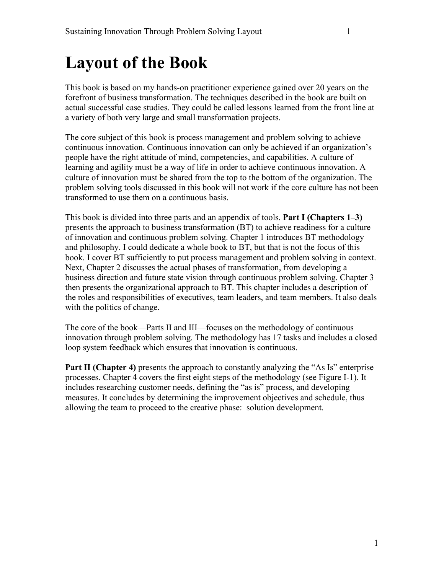## **Layout of the Book**

This book is based on my hands-on practitioner experience gained over 20 years on the forefront of business transformation. The techniques described in the book are built on actual successful case studies. They could be called lessons learned from the front line at a variety of both very large and small transformation projects.

The core subject of this book is process management and problem solving to achieve continuous innovation. Continuous innovation can only be achieved if an organization's people have the right attitude of mind, competencies, and capabilities. A culture of learning and agility must be a way of life in order to achieve continuous innovation. A culture of innovation must be shared from the top to the bottom of the organization. The problem solving tools discussed in this book will not work if the core culture has not been transformed to use them on a continuous basis.

This book is divided into three parts and an appendix of tools. **Part I (Chapters 1–3)** presents the approach to business transformation (BT) to achieve readiness for a culture of innovation and continuous problem solving. Chapter 1 introduces BT methodology and philosophy. I could dedicate a whole book to BT, but that is not the focus of this book. I cover BT sufficiently to put process management and problem solving in context. Next, Chapter 2 discusses the actual phases of transformation, from developing a business direction and future state vision through continuous problem solving. Chapter 3 then presents the organizational approach to BT. This chapter includes a description of the roles and responsibilities of executives, team leaders, and team members. It also deals with the politics of change.

The core of the book—Parts II and III—focuses on the methodology of continuous innovation through problem solving. The methodology has 17 tasks and includes a closed loop system feedback which ensures that innovation is continuous.

**Part II (Chapter 4)** presents the approach to constantly analyzing the "As Is" enterprise processes. Chapter 4 covers the first eight steps of the methodology (see Figure I-1). It includes researching customer needs, defining the "as is" process, and developing measures. It concludes by determining the improvement objectives and schedule, thus allowing the team to proceed to the creative phase: solution development.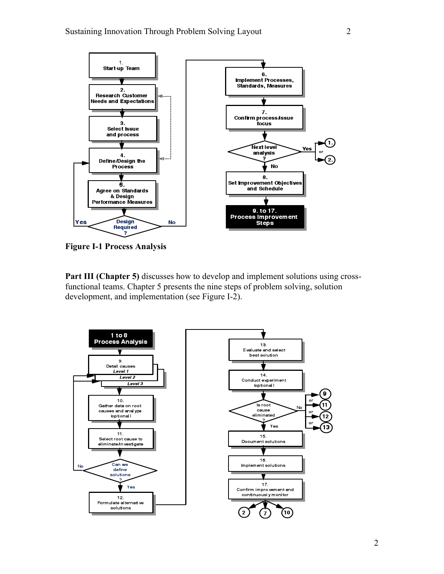

**Figure I-1 Process Analysis**

**Part III (Chapter 5)** discusses how to develop and implement solutions using crossfunctional teams. Chapter 5 presents the nine steps of problem solving, solution development, and implementation (see Figure I-2).